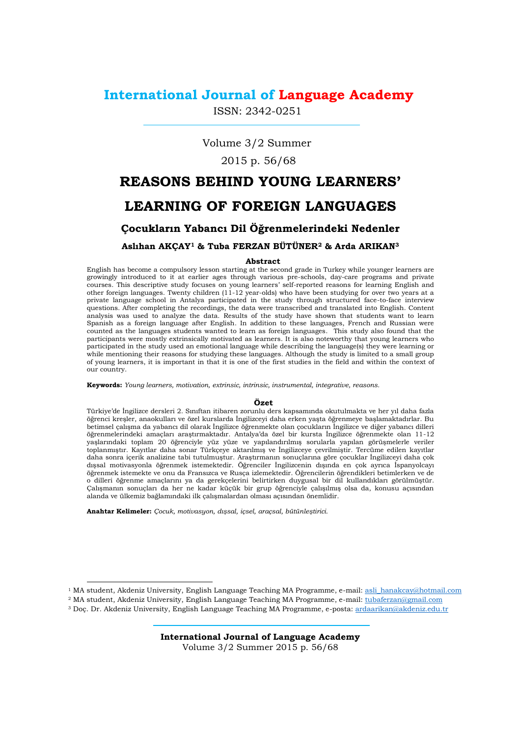# **International Journal of Language Academy**

ISSN: 2342-0251

Volume 3/2 Summer

# 2015 p. 56/68

# **REASONS BEHIND YOUNG LEARNERS' LEARNING OF FOREIGN LANGUAGES**

# **Çocukların Yabancı Dil Öğrenmelerindeki Nedenler**

# **Aslıhan AKÇAY<sup>1</sup> & Tuba FERZAN BÜTÜNER<sup>2</sup> & Arda ARIKAN<sup>3</sup>**

## **Abstract**

English has become a compulsory lesson starting at the second grade in Turkey while younger learners are growingly introduced to it at earlier ages through various pre-schools, day-care programs and private courses. This descriptive study focuses on young learners' self-reported reasons for learning English and other foreign languages. Twenty children (11-12 year-olds) who have been studying for over two years at a private language school in Antalya participated in the study through structured face-to-face interview questions. After completing the recordings, the data were transcribed and translated into English. Content analysis was used to analyze the data. Results of the study have shown that students want to learn Spanish as a foreign language after English. In addition to these languages, French and Russian were counted as the languages students wanted to learn as foreign languages. This study also found that the participants were mostly extrinsically motivated as learners. It is also noteworthy that young learners who participated in the study used an emotional language while describing the language(s) they were learning or while mentioning their reasons for studying these languages. Although the study is limited to a small group of young learners, it is important in that it is one of the first studies in the field and within the context of our country.

**Keywords:** *Young learners, motivation, extrinsic, intrinsic, instrumental, integrative, reasons.*

## **Özet**

Türkiye'de İngilizce dersleri 2. Sınıftan itibaren zorunlu ders kapsamında okutulmakta ve her yıl daha fazla öğrenci kreşler, anaokulları ve özel kurslarda İngilizceyi daha erken yaşta öğrenmeye başlamaktadırlar. Bu betimsel çalışma da yabancı dil olarak İngilizce öğrenmekte olan çocukların İngilizce ve diğer yabancı dilleri öğrenmelerindeki amaçları araştırmaktadır. Antalya'da özel bir kursta İngilizce öğrenmekte olan 11-12 yaşlarındaki toplam 20 öğrenciyle yüz yüze ve yapılandırılmış sorularla yapılan görüşmelerle veriler toplanmıştır. Kayıtlar daha sonar Türkçeye aktarılmış ve İngilizceye çevrilmiştir. Tercüme edilen kayıtlar daha sonra içerik analizine tabi tutulmuştur. Araştırmanın sonuçlarına göre çocuklar İngilizceyi daha çok dışsal motivasyonla öğrenmek istemektedir. Öğrenciler İngilizcenin dışında en çok ayrıca İspanyolcayı öğrenmek istemekte ve onu da Fransızca ve Rusça izlemektedir. Öğrencilerin öğrendikleri betimlerken ve de o dilleri öğrenme amaçlarını ya da gerekçelerini belirtirken duygusal bir dil kullandıkları görülmüştür. Çalışmanın sonuçları da her ne kadar küçük bir grup öğrenciyle çalışılmış olsa da, konusu açısından alanda ve ülkemiz bağlamındaki ilk çalışmalardan olması açısından önemlidir.

**Anahtar Kelimeler:** *Çocuk, motivasyon, dışsal, içsel, araçsal, bütünleştirici.*

l

<sup>&</sup>lt;sup>1</sup> MA student, Akdeniz University, English Language Teaching MA Programme, e-mail: asli\_hanakcay@hotmail.com

<sup>2</sup> MA student, Akdeniz University, English Language Teaching MA Programme, e-mail: tubaferzan@gmail.com

<sup>3</sup> Doç. Dr. Akdeniz University, English Language Teaching MA Programme, e-posta: [ardaarikan@akdeniz.edu.tr](mailto:ardaarikan@akdeniz.edu.tr)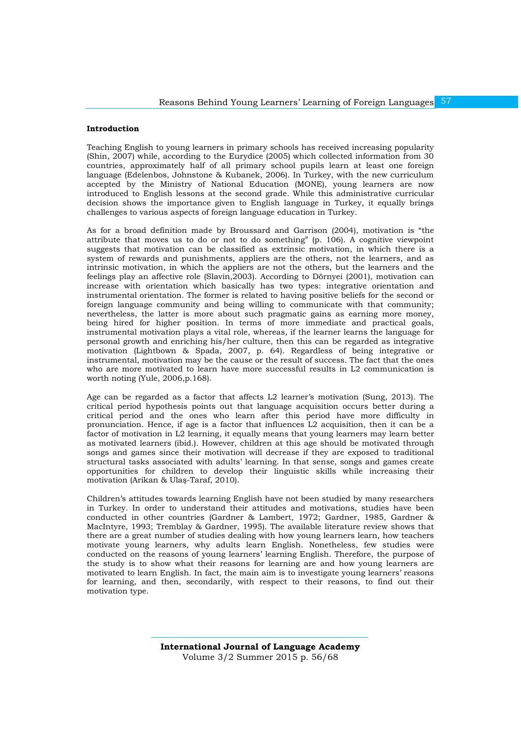## **Introduction**

Teaching English to young learners in primary schools has received increasing popularity (Shin, 2007) while, according to the Eurydice (2005) which collected information from 30 countries, approximately half of all primary school pupils learn at least one foreign language (Edelenbos, Johnstone & Kubanek, 2006). In Turkey, with the new curriculum accepted by the Ministry of National Education (MONE), young learners are now introduced to English lessons at the second grade. While this administrative curricular decision shows the importance given to English language in Turkey, it equally brings challenges to various aspects of foreign language education in Turkey.

As for a broad definition made by Broussard and Garrison (2004), motivation is "the attribute that moves us to do or not to do something" (p. 106). A cognitive viewpoint suggests that motivation can be classified as extrinsic motivation, in which there is a system of rewards and punishments, appliers are the others, not the learners, and as intrinsic motivation, in which the appliers are not the others, but the learners and the feelings play an affective role (Slavin,2003). According to Dörnyei (2001), motivation can increase with orientation which basically has two types: integrative orientation and instrumental orientation. The former is related to having positive beliefs for the second or foreign language community and being willing to communicate with that community; nevertheless, the latter is more about such pragmatic gains as earning more money, being hired for higher position. In terms of more immediate and practical goals, instrumental motivation plays a vital role, whereas, if the learner learns the language for personal growth and enriching his/her culture, then this can be regarded as integrative motivation (Lightbown & Spada, 2007, p. 64). Regardless of being integrative or instrumental, motivation may be the cause or the result of success. The fact that the ones who are more motivated to learn have more successful results in L2 communication is worth noting (Yule, 2006,p.168).

Age can be regarded as a factor that affects L2 learner's motivation (Sung, 2013). The critical period hypothesis points out that language acquisition occurs better during a critical period and the ones who learn after this period have more difficulty in pronunciation. Hence, if age is a factor that influences L2 acquisition, then it can be a factor of motivation in L2 learning, it equally means that young learners may learn better as motivated learners (ibid.). However, children at this age should be motivated through songs and games since their motivation will decrease if they are exposed to traditional structural tasks associated with adults' learning. In that sense, songs and games create opportunities for children to develop their linguistic skills while increasing their motivation (Arikan & Ulaş-Taraf, 2010).

Children's attitudes towards learning English have not been studied by many researchers in Turkey. In order to understand their attitudes and motivations, studies have been conducted in other countries (Gardner & Lambert, 1972; Gardner, 1985, Gardner & MacIntyre, 1993; Tremblay & Gardner, 1995). The available literature review shows that there are a great number of studies dealing with how young learners learn, how teachers motivate young learners, why adults learn English. Nonetheless, few studies were conducted on the reasons of young learners' learning English. Therefore, the purpose of the study is to show what their reasons for learning are and how young learners are motivated to learn English. In fact, the main aim is to investigate young learners' reasons for learning, and then, secondarily, with respect to their reasons, to find out their motivation type.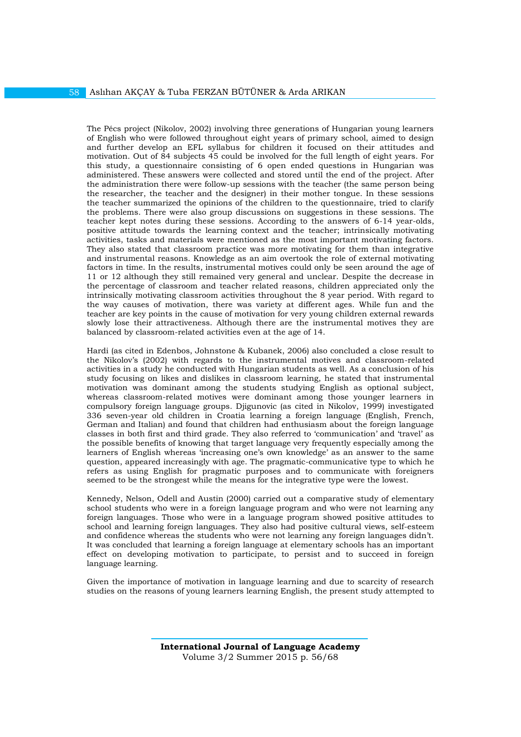The Pécs project (Nikolov, 2002) involving three generations of Hungarian young learners of English who were followed throughout eight years of primary school, aimed to design and further develop an EFL syllabus for children it focused on their attitudes and motivation. Out of 84 subjects 45 could be involved for the full length of eight years. For this study, a questionnaire consisting of 6 open ended questions in Hungarian was administered. These answers were collected and stored until the end of the project. After the administration there were follow-up sessions with the teacher (the same person being the researcher, the teacher and the designer) in their mother tongue. In these sessions the teacher summarized the opinions of the children to the questionnaire, tried to clarify the problems. There were also group discussions on suggestions in these sessions. The teacher kept notes during these sessions. According to the answers of 6-14 year-olds, positive attitude towards the learning context and the teacher; intrinsically motivating activities, tasks and materials were mentioned as the most important motivating factors. They also stated that classroom practice was more motivating for them than integrative and instrumental reasons. Knowledge as an aim overtook the role of external motivating factors in time. In the results, instrumental motives could only be seen around the age of 11 or 12 although they still remained very general and unclear. Despite the decrease in the percentage of classroom and teacher related reasons, children appreciated only the intrinsically motivating classroom activities throughout the 8 year period. With regard to the way causes of motivation, there was variety at different ages. While fun and the teacher are key points in the cause of motivation for very young children external rewards slowly lose their attractiveness. Although there are the instrumental motives they are balanced by classroom-related activities even at the age of 14.

Hardi (as cited in Edenbos, Johnstone & Kubanek, 2006) also concluded a close result to the Nikolov's (2002) with regards to the instrumental motives and classroom-related activities in a study he conducted with Hungarian students as well. As a conclusion of his study focusing on likes and dislikes in classroom learning, he stated that instrumental motivation was dominant among the students studying English as optional subject, whereas classroom-related motives were dominant among those younger learners in compulsory foreign language groups. Djigunovic (as cited in Nikolov, 1999) investigated 336 seven-year old children in Croatia learning a foreign language (English, French, German and Italian) and found that children had enthusiasm about the foreign language classes in both first and third grade. They also referred to 'communication' and 'travel' as the possible benefits of knowing that target language very frequently especially among the learners of English whereas 'increasing one's own knowledge' as an answer to the same question, appeared increasingly with age. The pragmatic-communicative type to which he refers as using English for pragmatic purposes and to communicate with foreigners seemed to be the strongest while the means for the integrative type were the lowest.

Kennedy, Nelson, Odell and Austin (2000) carried out a comparative study of elementary school students who were in a foreign language program and who were not learning any foreign languages. Those who were in a language program showed positive attitudes to school and learning foreign languages. They also had positive cultural views, self-esteem and confidence whereas the students who were not learning any foreign languages didn't. It was concluded that learning a foreign language at elementary schools has an important effect on developing motivation to participate, to persist and to succeed in foreign language learning.

Given the importance of motivation in language learning and due to scarcity of research studies on the reasons of young learners learning English, the present study attempted to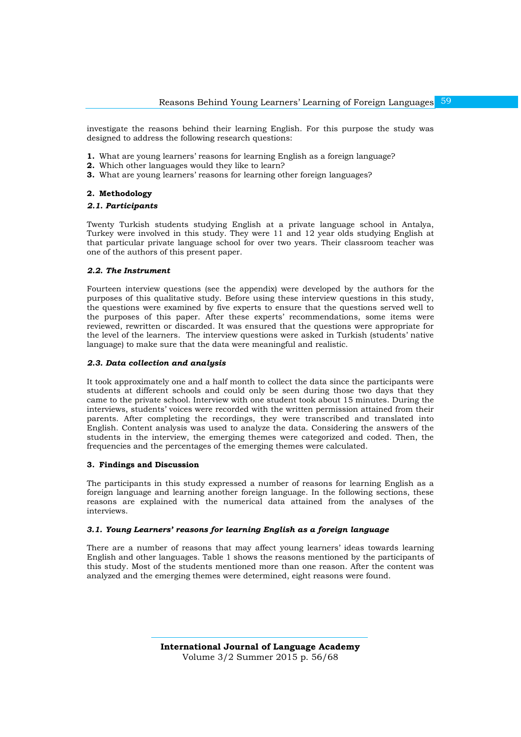investigate the reasons behind their learning English. For this purpose the study was designed to address the following research questions:

- **1.** What are young learners' reasons for learning English as a foreign language?
- **2.** Which other languages would they like to learn?
- **3.** What are young learners' reasons for learning other foreign languages?

## **2. Methodology**

## *2.1. Participants*

Twenty Turkish students studying English at a private language school in Antalya, Turkey were involved in this study. They were 11 and 12 year olds studying English at that particular private language school for over two years. Their classroom teacher was one of the authors of this present paper.

#### *2.2. The Instrument*

Fourteen interview questions (see the appendix) were developed by the authors for the purposes of this qualitative study. Before using these interview questions in this study, the questions were examined by five experts to ensure that the questions served well to the purposes of this paper. After these experts' recommendations, some items were reviewed, rewritten or discarded. It was ensured that the questions were appropriate for the level of the learners. The interview questions were asked in Turkish (students' native language) to make sure that the data were meaningful and realistic.

#### *2.3. Data collection and analysis*

It took approximately one and a half month to collect the data since the participants were students at different schools and could only be seen during those two days that they came to the private school. Interview with one student took about 15 minutes. During the interviews, students' voices were recorded with the written permission attained from their parents. After completing the recordings, they were transcribed and translated into English. Content analysis was used to analyze the data. Considering the answers of the students in the interview, the emerging themes were categorized and coded. Then, the frequencies and the percentages of the emerging themes were calculated.

## **3. Findings and Discussion**

The participants in this study expressed a number of reasons for learning English as a foreign language and learning another foreign language. In the following sections, these reasons are explained with the numerical data attained from the analyses of the interviews.

#### *3.1. Young Learners' reasons for learning English as a foreign language*

There are a number of reasons that may affect young learners' ideas towards learning English and other languages. Table 1 shows the reasons mentioned by the participants of this study. Most of the students mentioned more than one reason. After the content was analyzed and the emerging themes were determined, eight reasons were found.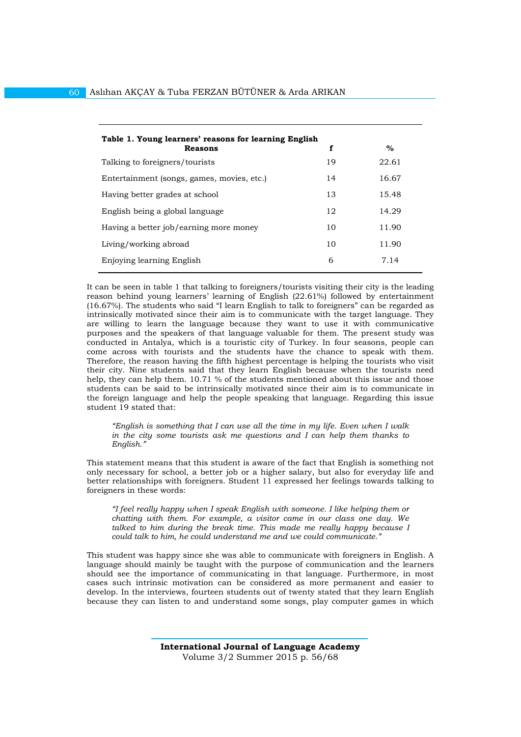| Table 1. Young learners' reasons for learning English<br><b>Reasons</b> | f  | $\%$  |
|-------------------------------------------------------------------------|----|-------|
| Talking to foreigners/tourists                                          | 19 | 22.61 |
|                                                                         |    |       |
| Entertainment (songs, games, movies, etc.)                              | 14 | 16.67 |
| Having better grades at school                                          | 13 | 15.48 |
| English being a global language                                         | 12 | 14.29 |
| Having a better job/earning more money                                  | 10 | 11.90 |
| Living/working abroad                                                   | 10 | 11.90 |
| Enjoying learning English                                               | 6  | 7.14  |

It can be seen in table 1 that talking to foreigners/tourists visiting their city is the leading reason behind young learners' learning of English (22.61%) followed by entertainment (16.67%). The students who said "I learn English to talk to foreigners" can be regarded as intrinsically motivated since their aim is to communicate with the target language. They are willing to learn the language because they want to use it with communicative purposes and the speakers of that language valuable for them. The present study was conducted in Antalya, which is a touristic city of Turkey. In four seasons, people can come across with tourists and the students have the chance to speak with them. Therefore, the reason having the fifth highest percentage is helping the tourists who visit their city. Nine students said that they learn English because when the tourists need help, they can help them. 10.71 % of the students mentioned about this issue and those students can be said to be intrinsically motivated since their aim is to communicate in the foreign language and help the people speaking that language. Regarding this issue student 19 stated that:

*"English is something that I can use all the time in my life. Even when I walk in the city some tourists ask me questions and I can help them thanks to English."*

This statement means that this student is aware of the fact that English is something not only necessary for school, a better job or a higher salary, but also for everyday life and better relationships with foreigners. Student 11 expressed her feelings towards talking to foreigners in these words:

*"I feel really happy when I speak English with someone. I like helping them or chatting with them. For example, a visitor came in our class one day. We talked to him during the break time. This made me really happy because I could talk to him, he could understand me and we could communicate."*

This student was happy since she was able to communicate with foreigners in English. A language should mainly be taught with the purpose of communication and the learners should see the importance of communicating in that language. Furthermore, in most cases such intrinsic motivation can be considered as more permanent and easier to develop. In the interviews, fourteen students out of twenty stated that they learn English because they can listen to and understand some songs, play computer games in which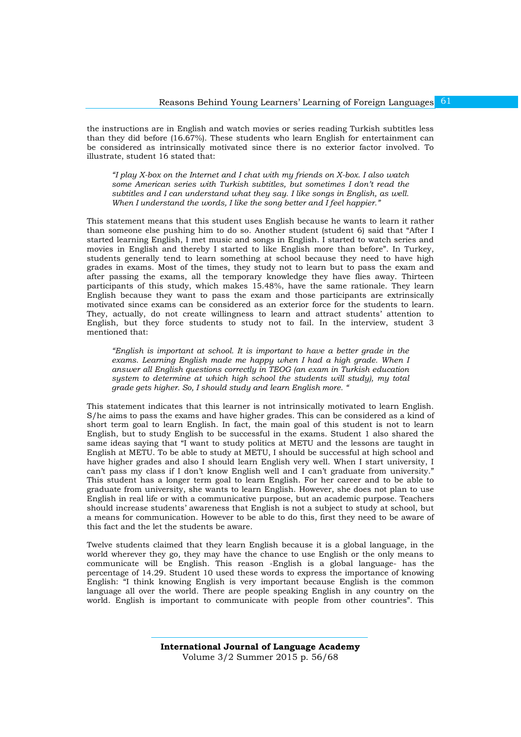the instructions are in English and watch movies or series reading Turkish subtitles less than they did before (16.67%). These students who learn English for entertainment can be considered as intrinsically motivated since there is no exterior factor involved. To illustrate, student 16 stated that:

*"I play X-box on the Internet and I chat with my friends on X-box. I also watch some American series with Turkish subtitles, but sometimes I don't read the subtitles and I can understand what they say. I like songs in English, as well. When I understand the words, I like the song better and I feel happier."*

This statement means that this student uses English because he wants to learn it rather than someone else pushing him to do so. Another student (student 6) said that "After I started learning English, I met music and songs in English. I started to watch series and movies in English and thereby I started to like English more than before". In Turkey, students generally tend to learn something at school because they need to have high grades in exams. Most of the times, they study not to learn but to pass the exam and after passing the exams, all the temporary knowledge they have flies away. Thirteen participants of this study, which makes 15.48%, have the same rationale. They learn English because they want to pass the exam and those participants are extrinsically motivated since exams can be considered as an exterior force for the students to learn. They, actually, do not create willingness to learn and attract students' attention to English, but they force students to study not to fail. In the interview, student 3 mentioned that:

*"English is important at school. It is important to have a better grade in the exams. Learning English made me happy when I had a high grade. When I answer all English questions correctly in TEOG (an exam in Turkish education system to determine at which high school the students will study), my total grade gets higher. So, I should study and learn English more. "*

This statement indicates that this learner is not intrinsically motivated to learn English. S/he aims to pass the exams and have higher grades. This can be considered as a kind of short term goal to learn English. In fact, the main goal of this student is not to learn English, but to study English to be successful in the exams. Student 1 also shared the same ideas saying that "I want to study politics at METU and the lessons are taught in English at METU. To be able to study at METU, I should be successful at high school and have higher grades and also I should learn English very well. When I start university, I can't pass my class if I don't know English well and I can't graduate from university." This student has a longer term goal to learn English. For her career and to be able to graduate from university, she wants to learn English. However, she does not plan to use English in real life or with a communicative purpose, but an academic purpose. Teachers should increase students' awareness that English is not a subject to study at school, but a means for communication. However to be able to do this, first they need to be aware of this fact and the let the students be aware.

Twelve students claimed that they learn English because it is a global language, in the world wherever they go, they may have the chance to use English or the only means to communicate will be English. This reason -English is a global language- has the percentage of 14.29. Student 10 used these words to express the importance of knowing English: "I think knowing English is very important because English is the common language all over the world. There are people speaking English in any country on the world. English is important to communicate with people from other countries". This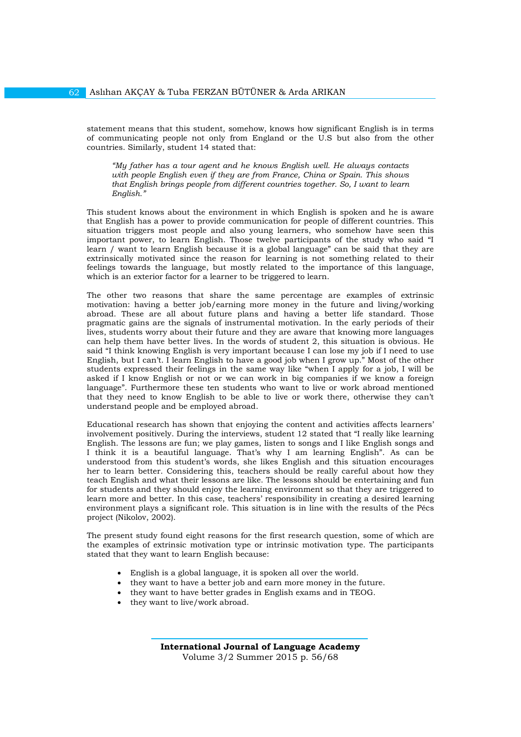statement means that this student, somehow, knows how significant English is in terms of communicating people not only from England or the U.S but also from the other countries. Similarly, student 14 stated that:

*"My father has a tour agent and he knows English well. He always contacts with people English even if they are from France, China or Spain. This shows that English brings people from different countries together. So, I want to learn English."*

This student knows about the environment in which English is spoken and he is aware that English has a power to provide communication for people of different countries. This situation triggers most people and also young learners, who somehow have seen this important power, to learn English. Those twelve participants of the study who said "I learn / want to learn English because it is a global language" can be said that they are extrinsically motivated since the reason for learning is not something related to their feelings towards the language, but mostly related to the importance of this language, which is an exterior factor for a learner to be triggered to learn.

The other two reasons that share the same percentage are examples of extrinsic motivation: having a better job/earning more money in the future and living/working abroad. These are all about future plans and having a better life standard. Those pragmatic gains are the signals of instrumental motivation. In the early periods of their lives, students worry about their future and they are aware that knowing more languages can help them have better lives. In the words of student 2, this situation is obvious. He said "I think knowing English is very important because I can lose my job if I need to use English, but I can't. I learn English to have a good job when I grow up." Most of the other students expressed their feelings in the same way like "when I apply for a job, I will be asked if I know English or not or we can work in big companies if we know a foreign language". Furthermore these ten students who want to live or work abroad mentioned that they need to know English to be able to live or work there, otherwise they can't understand people and be employed abroad.

Educational research has shown that enjoying the content and activities affects learners' involvement positively. During the interviews, student 12 stated that "I really like learning English. The lessons are fun; we play games, listen to songs and I like English songs and I think it is a beautiful language. That's why I am learning English". As can be understood from this student's words, she likes English and this situation encourages her to learn better. Considering this, teachers should be really careful about how they teach English and what their lessons are like. The lessons should be entertaining and fun for students and they should enjoy the learning environment so that they are triggered to learn more and better. In this case, teachers' responsibility in creating a desired learning environment plays a significant role. This situation is in line with the results of the Pécs project (Nikolov, 2002).

The present study found eight reasons for the first research question, some of which are the examples of extrinsic motivation type or intrinsic motivation type. The participants stated that they want to learn English because:

- English is a global language, it is spoken all over the world.
- they want to have a better job and earn more money in the future.
- they want to have better grades in English exams and in TEOG.
- they want to live/work abroad.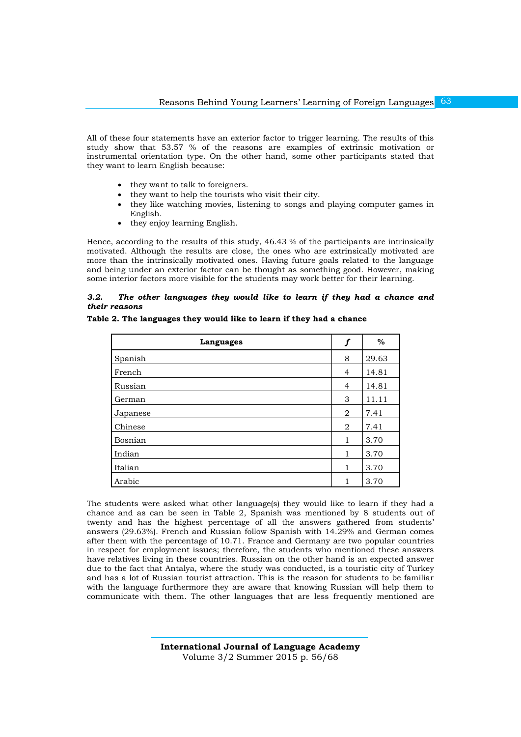All of these four statements have an exterior factor to trigger learning. The results of this study show that 53.57 % of the reasons are examples of extrinsic motivation or instrumental orientation type. On the other hand, some other participants stated that they want to learn English because:

- they want to talk to foreigners.
- they want to help the tourists who visit their city.
- they like watching movies, listening to songs and playing computer games in English.
- they enjoy learning English.

Hence, according to the results of this study, 46.43 % of the participants are intrinsically motivated. Although the results are close, the ones who are extrinsically motivated are more than the intrinsically motivated ones. Having future goals related to the language and being under an exterior factor can be thought as something good. However, making some interior factors more visible for the students may work better for their learning.

## *3.2. The other languages they would like to learn if they had a chance and their reasons*

| Table 2. The languages they would like to learn if they had a chance |  |
|----------------------------------------------------------------------|--|
|----------------------------------------------------------------------|--|

| Languages | $\boldsymbol{f}$ | $\%$  |
|-----------|------------------|-------|
| Spanish   | 8                | 29.63 |
| French    | 4                | 14.81 |
| Russian   | 4                | 14.81 |
| German    | 3                | 11.11 |
| Japanese  | 2                | 7.41  |
| Chinese   | 2                | 7.41  |
| Bosnian   | 1                | 3.70  |
| Indian    | 1                | 3.70  |
| Italian   | 1                | 3.70  |
| Arabic    |                  | 3.70  |

The students were asked what other language(s) they would like to learn if they had a chance and as can be seen in Table 2, Spanish was mentioned by 8 students out of twenty and has the highest percentage of all the answers gathered from students' answers (29.63%). French and Russian follow Spanish with 14.29% and German comes after them with the percentage of 10.71. France and Germany are two popular countries in respect for employment issues; therefore, the students who mentioned these answers have relatives living in these countries. Russian on the other hand is an expected answer due to the fact that Antalya, where the study was conducted, is a touristic city of Turkey and has a lot of Russian tourist attraction. This is the reason for students to be familiar with the language furthermore they are aware that knowing Russian will help them to communicate with them. The other languages that are less frequently mentioned are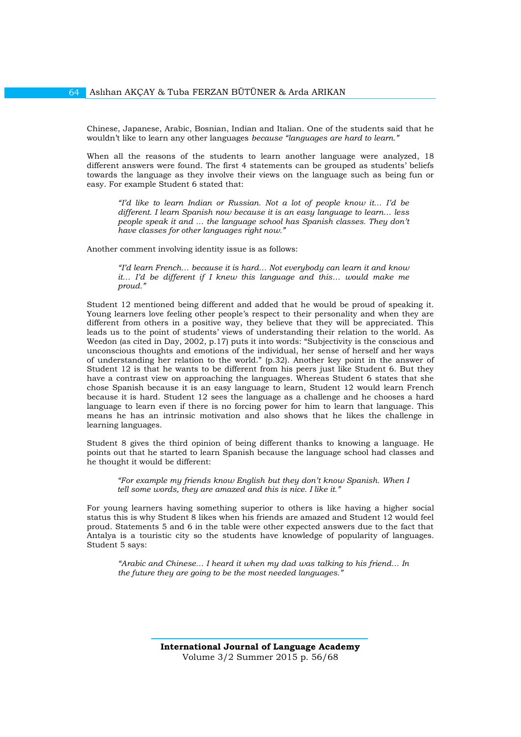Chinese, Japanese, Arabic, Bosnian, Indian and Italian. One of the students said that he wouldn't like to learn any other languages *because "languages are hard to learn."*

When all the reasons of the students to learn another language were analyzed, 18 different answers were found. The first 4 statements can be grouped as students' beliefs towards the language as they involve their views on the language such as being fun or easy. For example Student 6 stated that:

*"I'd like to learn Indian or Russian. Not a lot of people know it… I'd be different. I learn Spanish now because it is an easy language to learn… less people speak it and ... the language school has Spanish classes. They don't have classes for other languages right now."*

Another comment involving identity issue is as follows:

*"I'd learn French… because it is hard… Not everybody can learn it and know it… I'd be different if I knew this language and this… would make me proud."*

Student 12 mentioned being different and added that he would be proud of speaking it. Young learners love feeling other people's respect to their personality and when they are different from others in a positive way, they believe that they will be appreciated. This leads us to the point of students' views of understanding their relation to the world. As Weedon (as cited in Day, 2002, p.17) puts it into words: "Subjectivity is the conscious and unconscious thoughts and emotions of the individual, her sense of herself and her ways of understanding her relation to the world." (p.32). Another key point in the answer of Student 12 is that he wants to be different from his peers just like Student 6. But they have a contrast view on approaching the languages. Whereas Student 6 states that she chose Spanish because it is an easy language to learn, Student 12 would learn French because it is hard. Student 12 sees the language as a challenge and he chooses a hard language to learn even if there is no forcing power for him to learn that language. This means he has an intrinsic motivation and also shows that he likes the challenge in learning languages.

Student 8 gives the third opinion of being different thanks to knowing a language. He points out that he started to learn Spanish because the language school had classes and he thought it would be different:

*"For example my friends know English but they don't know Spanish. When I tell some words, they are amazed and this is nice. I like it."* 

For young learners having something superior to others is like having a higher social status this is why Student 8 likes when his friends are amazed and Student 12 would feel proud. Statements 5 and 6 in the table were other expected answers due to the fact that Antalya is a touristic city so the students have knowledge of popularity of languages. Student 5 says:

*"Arabic and Chinese… I heard it when my dad was talking to his friend… In the future they are going to be the most needed languages."*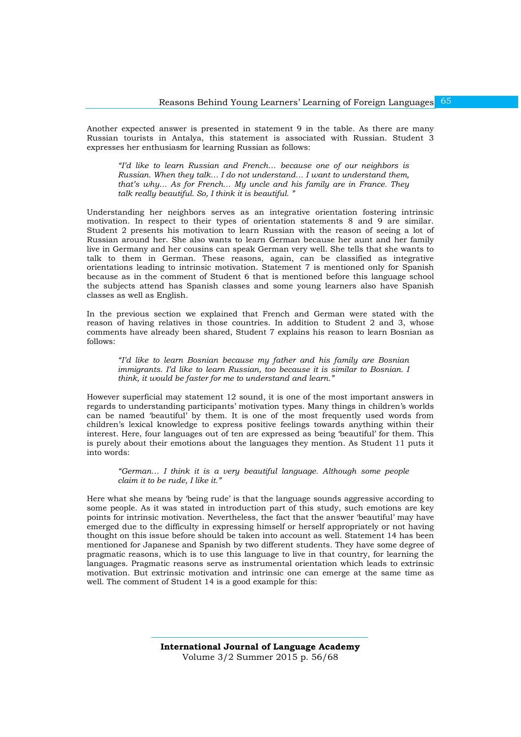Another expected answer is presented in statement 9 in the table. As there are many Russian tourists in Antalya, this statement is associated with Russian. Student 3 expresses her enthusiasm for learning Russian as follows:

*"I'd like to learn Russian and French… because one of our neighbors is Russian. When they talk... I do not understand... I want to understand them, that's why… As for French… My uncle and his family are in France. They talk really beautiful. So, I think it is beautiful. "*

Understanding her neighbors serves as an integrative orientation fostering intrinsic motivation. In respect to their types of orientation statements 8 and 9 are similar. Student 2 presents his motivation to learn Russian with the reason of seeing a lot of Russian around her. She also wants to learn German because her aunt and her family live in Germany and her cousins can speak German very well. She tells that she wants to talk to them in German. These reasons, again, can be classified as integrative orientations leading to intrinsic motivation. Statement 7 is mentioned only for Spanish because as in the comment of Student 6 that is mentioned before this language school the subjects attend has Spanish classes and some young learners also have Spanish classes as well as English.

In the previous section we explained that French and German were stated with the reason of having relatives in those countries. In addition to Student 2 and 3, whose comments have already been shared, Student 7 explains his reason to learn Bosnian as follows:

*"I'd like to learn Bosnian because my father and his family are Bosnian immigrants. I'd like to learn Russian, too because it is similar to Bosnian. I think, it would be faster for me to understand and learn."* 

However superficial may statement 12 sound, it is one of the most important answers in regards to understanding participants' motivation types. Many things in children's worlds can be named 'beautiful' by them. It is one of the most frequently used words from children's lexical knowledge to express positive feelings towards anything within their interest. Here, four languages out of ten are expressed as being 'beautiful' for them. This is purely about their emotions about the languages they mention. As Student 11 puts it into words:

*"German… I think it is a very beautiful language. Although some people claim it to be rude, I like it."* 

Here what she means by 'being rude' is that the language sounds aggressive according to some people. As it was stated in introduction part of this study, such emotions are key points for intrinsic motivation. Nevertheless, the fact that the answer 'beautiful' may have emerged due to the difficulty in expressing himself or herself appropriately or not having thought on this issue before should be taken into account as well. Statement 14 has been mentioned for Japanese and Spanish by two different students. They have some degree of pragmatic reasons, which is to use this language to live in that country, for learning the languages. Pragmatic reasons serve as instrumental orientation which leads to extrinsic motivation. But extrinsic motivation and intrinsic one can emerge at the same time as well. The comment of Student 14 is a good example for this: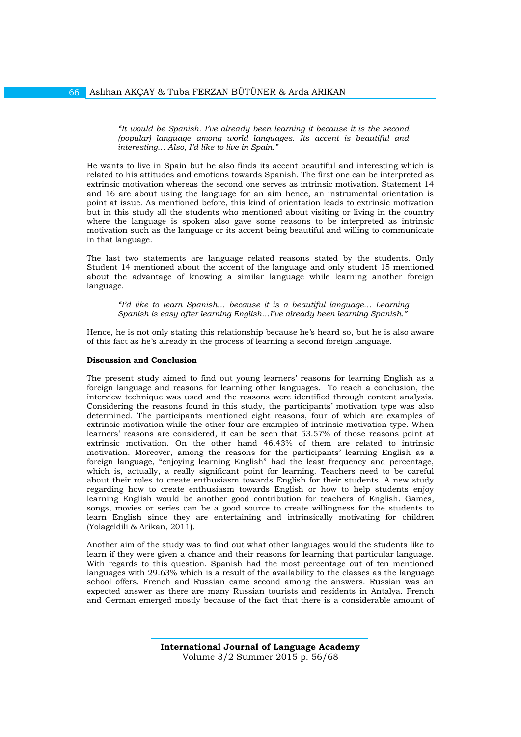*"It would be Spanish. I've already been learning it because it is the second (popular) language among world languages. Its accent is beautiful and interesting… Also, I'd like to live in Spain."* 

He wants to live in Spain but he also finds its accent beautiful and interesting which is related to his attitudes and emotions towards Spanish. The first one can be interpreted as extrinsic motivation whereas the second one serves as intrinsic motivation. Statement 14 and 16 are about using the language for an aim hence, an instrumental orientation is point at issue. As mentioned before, this kind of orientation leads to extrinsic motivation but in this study all the students who mentioned about visiting or living in the country where the language is spoken also gave some reasons to be interpreted as intrinsic motivation such as the language or its accent being beautiful and willing to communicate in that language.

The last two statements are language related reasons stated by the students. Only Student 14 mentioned about the accent of the language and only student 15 mentioned about the advantage of knowing a similar language while learning another foreign language.

*"I'd like to learn Spanish… because it is a beautiful language… Learning Spanish is easy after learning English…I've already been learning Spanish."*

Hence, he is not only stating this relationship because he's heard so, but he is also aware of this fact as he's already in the process of learning a second foreign language.

#### **Discussion and Conclusion**

66

The present study aimed to find out young learners' reasons for learning English as a foreign language and reasons for learning other languages. To reach a conclusion, the interview technique was used and the reasons were identified through content analysis. Considering the reasons found in this study, the participants' motivation type was also determined. The participants mentioned eight reasons, four of which are examples of extrinsic motivation while the other four are examples of intrinsic motivation type. When learners' reasons are considered, it can be seen that 53.57% of those reasons point at extrinsic motivation. On the other hand 46.43% of them are related to intrinsic motivation. Moreover, among the reasons for the participants' learning English as a foreign language, "enjoying learning English" had the least frequency and percentage, which is, actually, a really significant point for learning. Teachers need to be careful about their roles to create enthusiasm towards English for their students. A new study regarding how to create enthusiasm towards English or how to help students enjoy learning English would be another good contribution for teachers of English. Games, songs, movies or series can be a good source to create willingness for the students to learn English since they are entertaining and intrinsically motivating for children (Yolageldili & Arikan, 2011).

Another aim of the study was to find out what other languages would the students like to learn if they were given a chance and their reasons for learning that particular language. With regards to this question, Spanish had the most percentage out of ten mentioned languages with 29.63% which is a result of the availability to the classes as the language school offers. French and Russian came second among the answers. Russian was an expected answer as there are many Russian tourists and residents in Antalya. French and German emerged mostly because of the fact that there is a considerable amount of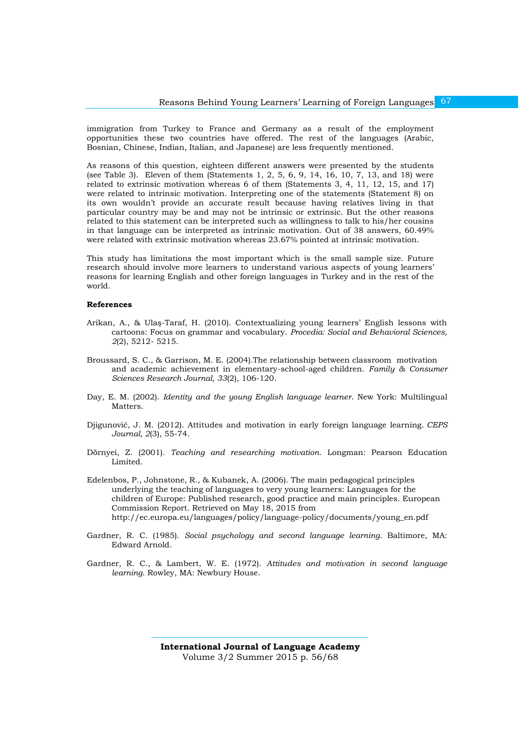immigration from Turkey to France and Germany as a result of the employment opportunities these two countries have offered. The rest of the languages (Arabic, Bosnian, Chinese, Indian, Italian, and Japanese) are less frequently mentioned.

As reasons of this question, eighteen different answers were presented by the students (see Table 3). Eleven of them (Statements 1, 2, 5, 6, 9, 14, 16, 10, 7, 13, and 18) were related to extrinsic motivation whereas 6 of them (Statements 3, 4, 11, 12, 15, and 17) were related to intrinsic motivation. Interpreting one of the statements (Statement 8) on its own wouldn't provide an accurate result because having relatives living in that particular country may be and may not be intrinsic or extrinsic. But the other reasons related to this statement can be interpreted such as willingness to talk to his/her cousins in that language can be interpreted as intrinsic motivation. Out of 38 answers, 60.49% were related with extrinsic motivation whereas 23.67% pointed at intrinsic motivation.

This study has limitations the most important which is the small sample size. Future research should involve more learners to understand various aspects of young learners' reasons for learning English and other foreign languages in Turkey and in the rest of the world.

#### **References**

- Arikan, A., & Ulaş-Taraf, H. (2010). Contextualizing young learners' English lessons with cartoons: Focus on grammar and vocabulary. *Procedia: Social and Behavioral Sciences, 2*(2), 5212- 5215.
- Broussard, S. C., & Garrison, M. E. (2004).The relationship between classroom motivation and academic achievement in elementary-school-aged children. *Family & Consumer Sciences Research Journal, 33*(2), 106-120.
- Day, E. M. (2002). *Identity and the young English language learner*. New York: Multilingual Matters.
- Djigunović, J. M. (2012). Attitudes and motivation in early foreign language learning. *CEPS Journal, 2*(3), 55-74.
- Dörnyei, Z. (2001). *Teaching and researching motivation*. Longman: Pearson Education Limited.
- Edelenbos, P., Johnstone, R., & Kubanek, A. (2006). The main pedagogical principles underlying the teaching of languages to very young learners: Languages for the children of Europe: Published research, good practice and main principles. European Commission Report. Retrieved on May 18, 2015 from [http://ec.europa.eu/languages/policy/language-policy/documents/young\\_en.pdf](http://ec.europa.eu/languages/policy/language-policy/documents/young_en.pdf)
- Gardner, R. C. (1985). *Social psychology and second language learning*. Baltimore, MA: Edward Arnold.
- Gardner, R. C., & Lambert, W. E. (1972). *Attitudes and motivation in second language learning*. Rowley, MA: Newbury House.